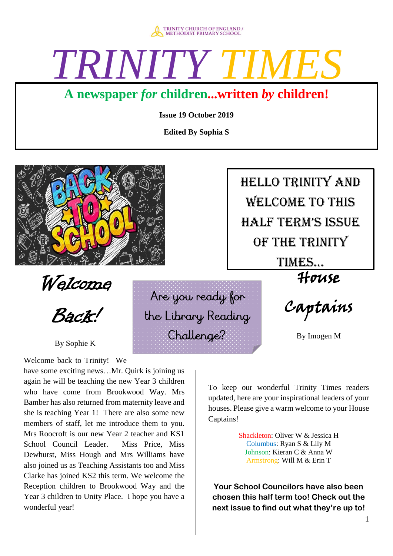

# *TRINITY*

### **A newspaper** *for* **children...written** *by* **children!**

**Issue 19 October 2019** 

**Edited By Sophia S** 

Are you ready for

the Library Reading

Challenge?



Welcome

Back!

By Sophie K

Welcome back to Trinity! We

have some exciting news…Mr. Quirk is joining us again he will be teaching the new Year 3 children who have come from Brookwood Way. Mrs Bamber has also returned from maternity leave and she is teaching Year 1! There are also some new members of staff, let me introduce them to you. Mrs Roocroft is our new Year 2 teacher and KS1 School Council Leader. Miss Price, Miss Dewhurst, Miss Hough and Mrs Williams have also joined us as Teaching Assistants too and Miss Clarke has joined KS2 this term. We welcome the Reception children to Brookwood Way and the Year 3 children to Unity Place. I hope you have a wonderful year!

 welcome to this Hello trinity and half term's issue of the trinity times…

 $\overline{\phantom{a}}$ 

House

Captains

By Imogen M

To keep our wonderful Trinity Times readers updated, here are your inspirational leaders of your houses. Please give a warm welcome to your House Captains!

> Shackleton: Oliver W & Jessica H Columbus: Ryan S & Lily M Johnson: Kieran C & Anna W Armstrong: Will M & Erin T

**Your School Councilors have also been chosen this half term too! Check out the next issue to find out what they're up to!**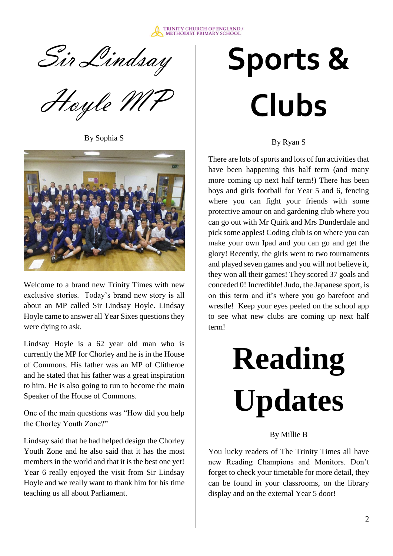

Sir Lindsay

Hoyle M

By Sophia S



Welcome to a brand new Trinity Times with new exclusive stories. Today's brand new story is all about an MP called Sir Lindsay Hoyle. Lindsay Hoyle came to answer all Year Sixes questions they were dying to ask.

Lindsay Hoyle is a 62 year old man who is currently the MP for Chorley and he is in the House of Commons. His father was an MP of Clitheroe and he stated that his father was a great inspiration to him. He is also going to run to become the main Speaker of the House of Commons.

One of the main questions was "How did you help the Chorley Youth Zone?"

Lindsay said that he had helped design the Chorley Youth Zone and he also said that it has the most members in the world and that it is the best one yet! Year 6 really enjoyed the visit from Sir Lindsay Hoyle and we really want to thank him for his time teaching us all about Parliament.

# **Sports & Clubs**

By Ryan S

There are lots of sports and lots of fun activities that have been happening this half term (and many more coming up next half term!) There has been boys and girls football for Year 5 and 6, fencing where you can fight your friends with some protective amour on and gardening club where you can go out with Mr Quirk and Mrs Dunderdale and pick some apples! Coding club is on where you can make your own Ipad and you can go and get the glory! Recently, the girls went to two tournaments and played seven games and you will not believe it, they won all their games! They scored 37 goals and conceded 0! Incredible! Judo, the Japanese sport, is on this term and it's where you go barefoot and wrestle! Keep your eyes peeled on the school app to see what new clubs are coming up next half term!

# **Reading Updates**

#### By Millie B

You lucky readers of The Trinity Times all have new Reading Champions and Monitors. Don't forget to check your timetable for more detail, they can be found in your classrooms, on the library display and on the external Year 5 door!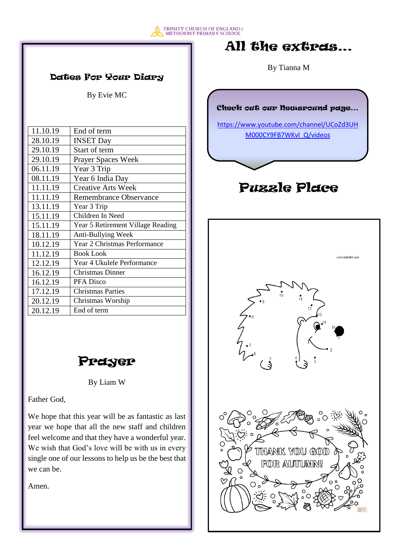

#### Dates For Your Diary

By Evie MC

| 11.10.19 | End of term                         |
|----------|-------------------------------------|
| 28.10.19 | <b>INSET Day</b>                    |
| 29.10.19 | Start of term                       |
| 29.10.19 | <b>Prayer Spaces Week</b>           |
| 06.11.19 | Year 3 Trip                         |
| 08.11.19 | Year 6 India Day                    |
| 11.11.19 | <b>Creative Arts Week</b>           |
| 11.11.19 | <b>Remembrance Observance</b>       |
| 13.11.19 | Year 3 Trip                         |
| 15.11.19 | Children In Need                    |
| 15.11.19 | Year 5 Retirement Village Reading   |
| 18.11.19 | Anti-Bullying Week                  |
| 10.12.19 | <b>Year 2 Christmas Performance</b> |
| 11.12.19 | <b>Book Look</b>                    |
| 12.12.19 | Year 4 Ukulele Performance          |
| 16.12.19 | <b>Christmas Dinner</b>             |
| 16.12.19 | PFA Disco                           |
| 17.12.19 | <b>Christmas Parties</b>            |
| 20.12.19 | Christmas Worship                   |
| 20.12.19 | End of term                         |

### Prayer

By Liam W

Father God,

We hope that this year will be as fantastic as last year we hope that all the new staff and children feel welcome and that they have a wonderful year. We wish that God's love will be with us in every single one of our lessons to help us be the best that we can be.

Amen.

### All the extras…

By Tianna M

#### Check out our Newsround page…

[https://www.youtube.com/channel/UCoZd3UH](https://www.youtube.com/channel/UCoZd3UHM000CY9FB7WKvl_Q/videos) [M000CY9FB7WKvl\\_Q/videos](https://www.youtube.com/channel/UCoZd3UHM000CY9FB7WKvl_Q/videos)

### Puzzle Place